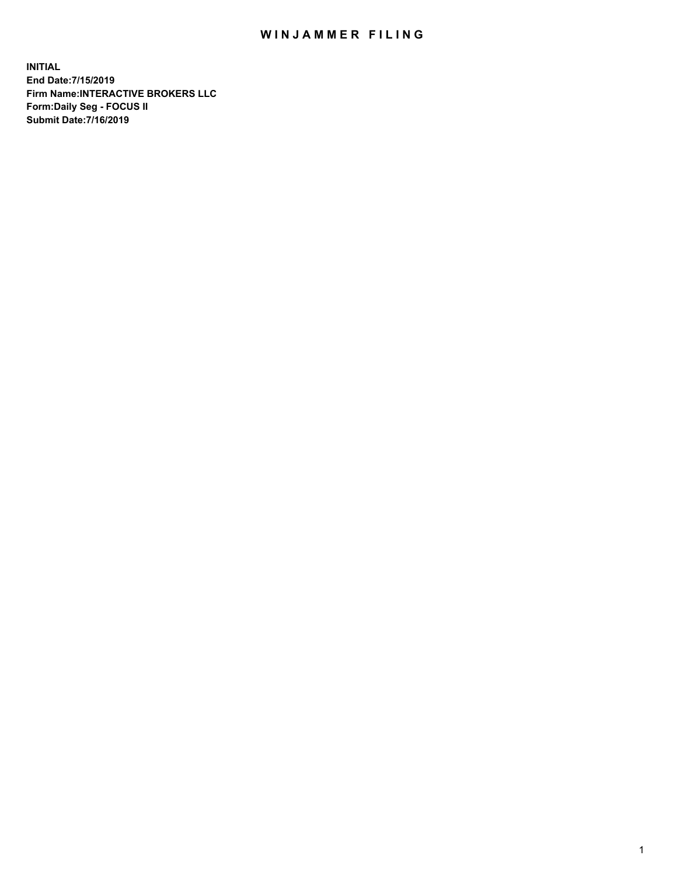## WIN JAMMER FILING

**INITIAL End Date:7/15/2019 Firm Name:INTERACTIVE BROKERS LLC Form:Daily Seg - FOCUS II Submit Date:7/16/2019**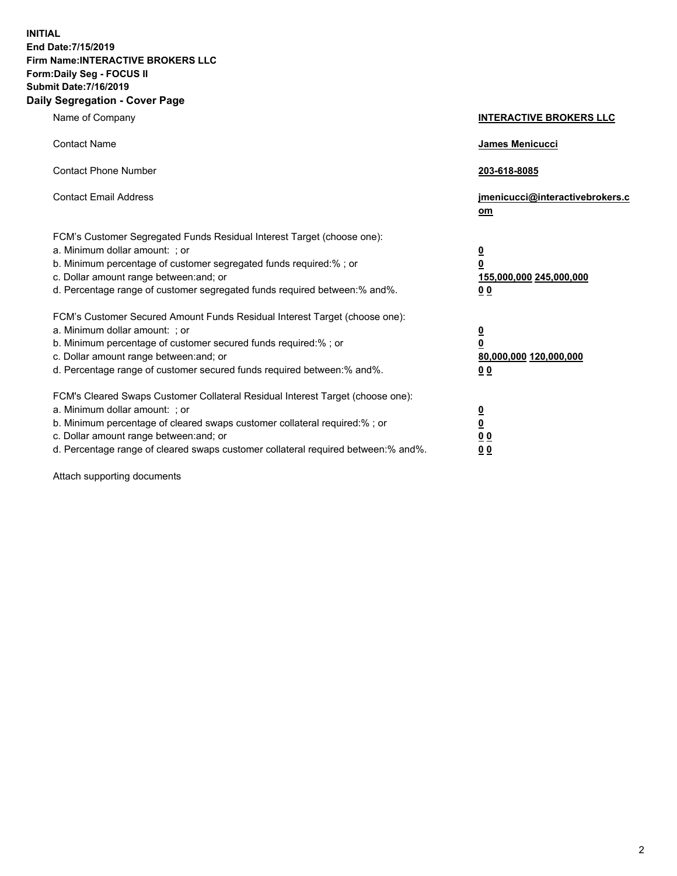**INITIAL End Date:7/15/2019 Firm Name:INTERACTIVE BROKERS LLC Form:Daily Seg - FOCUS II Submit Date:7/16/2019 Daily Segregation - Cover Page**

| Name of Company                                                                                                                                                                                                                                                                                                                | <b>INTERACTIVE BROKERS LLC</b>                                                                           |
|--------------------------------------------------------------------------------------------------------------------------------------------------------------------------------------------------------------------------------------------------------------------------------------------------------------------------------|----------------------------------------------------------------------------------------------------------|
| <b>Contact Name</b>                                                                                                                                                                                                                                                                                                            | James Menicucci                                                                                          |
| <b>Contact Phone Number</b>                                                                                                                                                                                                                                                                                                    | 203-618-8085                                                                                             |
| <b>Contact Email Address</b>                                                                                                                                                                                                                                                                                                   | jmenicucci@interactivebrokers.c<br>om                                                                    |
| FCM's Customer Segregated Funds Residual Interest Target (choose one):<br>a. Minimum dollar amount: ; or<br>b. Minimum percentage of customer segregated funds required:% ; or<br>c. Dollar amount range between: and; or<br>d. Percentage range of customer segregated funds required between:% and%.                         | <u>0</u><br>$\overline{\mathbf{0}}$<br>155,000,000 245,000,000<br>0 <sub>0</sub>                         |
| FCM's Customer Secured Amount Funds Residual Interest Target (choose one):<br>a. Minimum dollar amount: ; or<br>b. Minimum percentage of customer secured funds required:%; or<br>c. Dollar amount range between: and; or<br>d. Percentage range of customer secured funds required between:% and%.                            | <u>0</u><br>$\overline{\mathbf{0}}$<br>80,000,000 120,000,000<br><u>00</u>                               |
| FCM's Cleared Swaps Customer Collateral Residual Interest Target (choose one):<br>a. Minimum dollar amount: ; or<br>b. Minimum percentage of cleared swaps customer collateral required:% ; or<br>c. Dollar amount range between: and; or<br>d. Percentage range of cleared swaps customer collateral required between:% and%. | $\overline{\mathbf{0}}$<br>$\underline{\mathbf{0}}$<br>$\underline{0}$ $\underline{0}$<br>0 <sub>0</sub> |

Attach supporting documents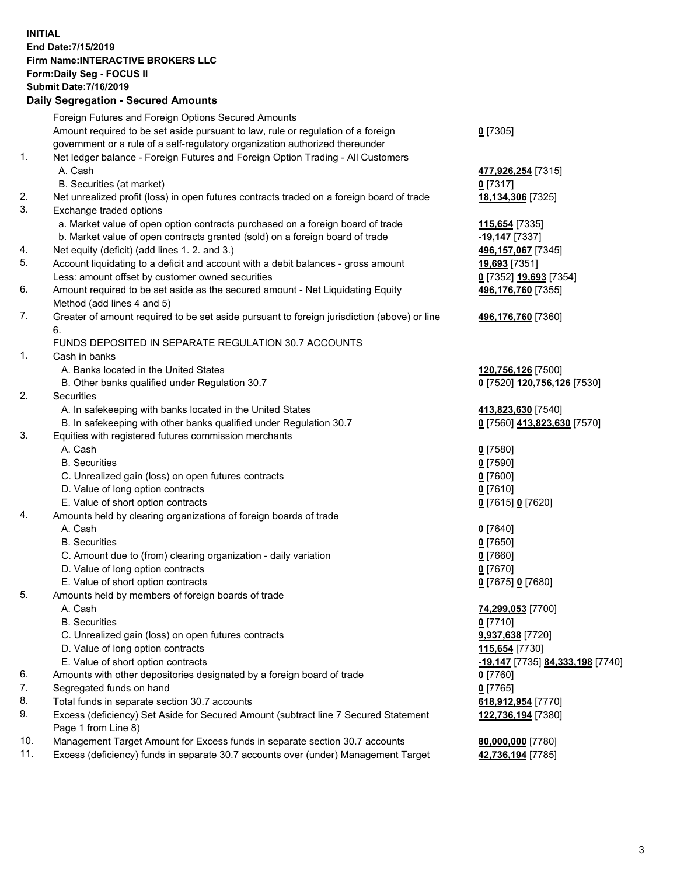## **INITIAL End Date:7/15/2019 Firm Name:INTERACTIVE BROKERS LLC Form:Daily Seg - FOCUS II Submit Date:7/16/2019 Daily Segregation - Secured Amounts**

|     | Daily Jegi egation - Jeculed Alliounts                                                                     |                                  |
|-----|------------------------------------------------------------------------------------------------------------|----------------------------------|
|     | Foreign Futures and Foreign Options Secured Amounts                                                        |                                  |
|     | Amount required to be set aside pursuant to law, rule or regulation of a foreign                           | $0$ [7305]                       |
|     | government or a rule of a self-regulatory organization authorized thereunder                               |                                  |
| 1.  | Net ledger balance - Foreign Futures and Foreign Option Trading - All Customers                            |                                  |
|     | A. Cash                                                                                                    | 477,926,254 [7315]               |
|     | B. Securities (at market)                                                                                  | $0$ [7317]                       |
| 2.  | Net unrealized profit (loss) in open futures contracts traded on a foreign board of trade                  | 18,134,306 [7325]                |
| 3.  | Exchange traded options                                                                                    |                                  |
|     | a. Market value of open option contracts purchased on a foreign board of trade                             | 115,654 [7335]                   |
|     | b. Market value of open contracts granted (sold) on a foreign board of trade                               | -19,147 [7337]                   |
| 4.  | Net equity (deficit) (add lines 1.2. and 3.)                                                               | 496,157,067 [7345]               |
| 5.  | Account liquidating to a deficit and account with a debit balances - gross amount                          | 19,693 [7351]                    |
|     | Less: amount offset by customer owned securities                                                           | 0 [7352] 19,693 [7354]           |
| 6.  | Amount required to be set aside as the secured amount - Net Liquidating Equity                             | 496,176,760 [7355]               |
|     | Method (add lines 4 and 5)                                                                                 |                                  |
| 7.  | Greater of amount required to be set aside pursuant to foreign jurisdiction (above) or line                | 496,176,760 [7360]               |
|     | 6.                                                                                                         |                                  |
|     | FUNDS DEPOSITED IN SEPARATE REGULATION 30.7 ACCOUNTS                                                       |                                  |
| 1.  | Cash in banks                                                                                              |                                  |
|     | A. Banks located in the United States                                                                      | 120,756,126 [7500]               |
|     | B. Other banks qualified under Regulation 30.7                                                             | 0 [7520] 120,756,126 [7530]      |
| 2.  | Securities                                                                                                 |                                  |
|     | A. In safekeeping with banks located in the United States                                                  | 413,823,630 [7540]               |
|     | B. In safekeeping with other banks qualified under Regulation 30.7                                         | 0 [7560] 413,823,630 [7570]      |
| 3.  | Equities with registered futures commission merchants                                                      |                                  |
|     | A. Cash                                                                                                    | $0$ [7580]                       |
|     | <b>B.</b> Securities                                                                                       | $0$ [7590]                       |
|     | C. Unrealized gain (loss) on open futures contracts                                                        | $0$ [7600]                       |
|     | D. Value of long option contracts                                                                          | $0$ [7610]                       |
|     | E. Value of short option contracts                                                                         | 0 [7615] 0 [7620]                |
| 4.  | Amounts held by clearing organizations of foreign boards of trade                                          |                                  |
|     | A. Cash                                                                                                    | $0$ [7640]                       |
|     | <b>B.</b> Securities                                                                                       | $0$ [7650]                       |
|     | C. Amount due to (from) clearing organization - daily variation                                            | $0$ [7660]                       |
|     | D. Value of long option contracts                                                                          | $0$ [7670]                       |
|     | E. Value of short option contracts                                                                         | 0 [7675] 0 [7680]                |
| 5.  | Amounts held by members of foreign boards of trade                                                         |                                  |
|     | A. Cash                                                                                                    | 74,299,053 [7700]                |
|     | <b>B.</b> Securities                                                                                       | $0$ [7710]                       |
|     | C. Unrealized gain (loss) on open futures contracts                                                        | 9,937,638 [7720]                 |
|     | D. Value of long option contracts                                                                          | 115,654 [7730]                   |
|     | E. Value of short option contracts                                                                         | -19,147 [7735] 84,333,198 [7740] |
| 6.  | Amounts with other depositories designated by a foreign board of trade                                     | 0 [7760]                         |
| 7.  | Segregated funds on hand                                                                                   | $0$ [7765]                       |
| 8.  | Total funds in separate section 30.7 accounts                                                              | 618,912,954 [7770]               |
| 9.  | Excess (deficiency) Set Aside for Secured Amount (subtract line 7 Secured Statement<br>Page 1 from Line 8) | 122,736,194 [7380]               |
| 10. | Management Target Amount for Excess funds in separate section 30.7 accounts                                | 80,000,000 [7780]                |
| 11. | Excess (deficiency) funds in separate 30.7 accounts over (under) Management Target                         | 42,736,194 [7785]                |
|     |                                                                                                            |                                  |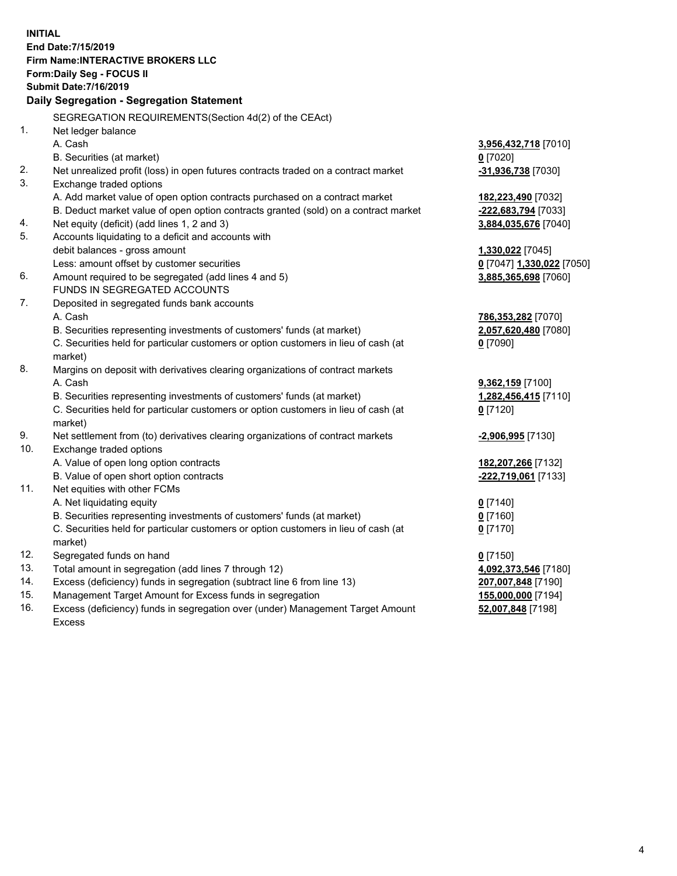**INITIAL End Date:7/15/2019 Firm Name:INTERACTIVE BROKERS LLC Form:Daily Seg - FOCUS II Submit Date:7/16/2019 Daily Segregation - Segregation Statement** SEGREGATION REQUIREMENTS(Section 4d(2) of the CEAct) 1. Net ledger balance A. Cash **3,956,432,718** [7010] B. Securities (at market) **0** [7020] 2. Net unrealized profit (loss) in open futures contracts traded on a contract market **-31,936,738** [7030] 3. Exchange traded options A. Add market value of open option contracts purchased on a contract market **182,223,490** [7032] B. Deduct market value of open option contracts granted (sold) on a contract market **-222,683,794** [7033] 4. Net equity (deficit) (add lines 1, 2 and 3) **3,884,035,676** [7040] 5. Accounts liquidating to a deficit and accounts with debit balances - gross amount **1,330,022** [7045] Less: amount offset by customer securities **0** [7047] **1,330,022** [7050] 6. Amount required to be segregated (add lines 4 and 5) **3,885,365,698** [7060] FUNDS IN SEGREGATED ACCOUNTS 7. Deposited in segregated funds bank accounts A. Cash **786,353,282** [7070] B. Securities representing investments of customers' funds (at market) **2,057,620,480** [7080] C. Securities held for particular customers or option customers in lieu of cash (at market) **0** [7090] 8. Margins on deposit with derivatives clearing organizations of contract markets A. Cash **9,362,159** [7100] B. Securities representing investments of customers' funds (at market) **1,282,456,415** [7110] C. Securities held for particular customers or option customers in lieu of cash (at market) **0** [7120] 9. Net settlement from (to) derivatives clearing organizations of contract markets **-2,906,995** [7130] 10. Exchange traded options A. Value of open long option contracts **182,207,266** [7132] B. Value of open short option contracts **-222,719,061** [7133] 11. Net equities with other FCMs A. Net liquidating equity **0** [7140] B. Securities representing investments of customers' funds (at market) **0** [7160] C. Securities held for particular customers or option customers in lieu of cash (at market) **0** [7170] 12. Segregated funds on hand **0** [7150] 13. Total amount in segregation (add lines 7 through 12) **4,092,373,546** [7180] 14. Excess (deficiency) funds in segregation (subtract line 6 from line 13) **207,007,848** [7190] 15. Management Target Amount for Excess funds in segregation **155,000,000** [7194]

16. Excess (deficiency) funds in segregation over (under) Management Target Amount Excess

**52,007,848** [7198]